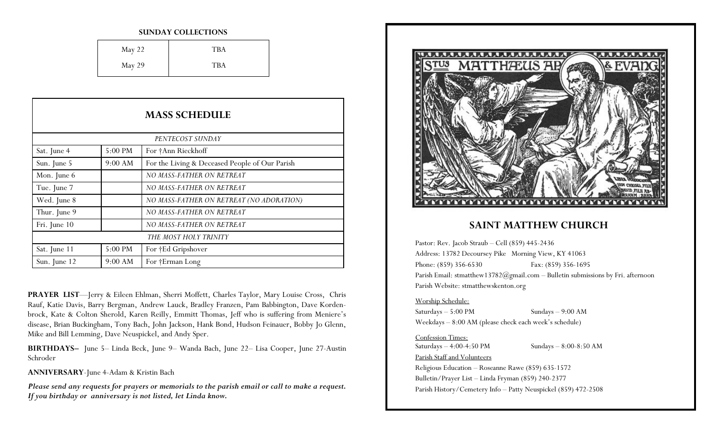#### **SUNDAY COLLECTIONS**

| May 22 | <b>TBA</b> |
|--------|------------|
| May 29 | <b>TBA</b> |

| <b>MASS SCHEDULE</b>  |         |                                                |
|-----------------------|---------|------------------------------------------------|
| PENTECOST SUNDAY      |         |                                                |
| Sat. June 4           | 5:00 PM | For †Ann Rieckhoff                             |
| Sun. June 5           | 9:00 AM | For the Living & Deceased People of Our Parish |
| Mon. June 6           |         | NO MASS-FATHER ON RETREAT                      |
| Tue. June 7           |         | NO MASS-FATHER ON RETREAT                      |
| Wed. June 8           |         | NO MASS-FATHER ON RETREAT (NO ADORATION)       |
| Thur. June 9          |         | NO MASS-FATHER ON RETREAT                      |
| Fri. June 10          |         | NO MASS-FATHER ON RETREAT                      |
| THE MOST HOLY TRINITY |         |                                                |
| Sat. June 11          | 5:00 PM | For †Ed Gripshover                             |
| Sun. June 12          | 9:00 AM | For †Erman Long                                |

**PRAYER LIST**—Jerry & Eileen Ehlman, Sherri Moffett, Charles Taylor, Mary Louise Cross, Chris Rauf, Katie Davis, Barry Bergman, Andrew Lauck, Bradley Franzen, Pam Babbington, Dave Kordenbrock, Kate & Colton Sherold, Karen Reilly, Emmitt Thomas, Jeff who is suffering from Meniere's disease, Brian Buckingham, Tony Bach, John Jackson, Hank Bond, Hudson Feinauer, Bobby Jo Glenn, Mike and Bill Lemming, Dave Neuspickel, and Andy Sper.

**BIRTHDAYS–** June 5– Linda Beck, June 9– Wanda Bach, June 22– Lisa Cooper, June 27-Austin Schroder

**ANNIVERSARY**-June 4-Adam & Kristin Bach

*Please send any requests for prayers or memorials to the parish email or call to make a request. If you birthday or anniversary is not listed, let Linda know.*



### **SAINT MATTHEW CHURCH**

Pastor: Rev. Jacob Straub – Cell (859) 445-2436 Address: 13782 Decoursey Pike Morning View, KY 41063 Phone: (859) 356-6530 Fax: (859) 356-1695 Parish Email: stmatthew13782@gmail.com - Bulletin submissions by Fri. afternoon Parish Website: stmatthewskenton.org

#### Worship Schedule:

Saturdays – 5:00 PM Sundays – 9:00 AM Weekdays – 8:00 AM (please check each week's schedule)

### Confession Times:

Saturdays – 4:00-4:50 PM Sundays – 8:00-8:50 AM Parish Staff and Volunteers

Religious Education – Roseanne Rawe (859) 635-1572 Bulletin/Prayer List – Linda Fryman (859) 240-2377 Parish History/Cemetery Info – Patty Neuspickel (859) 472-2508